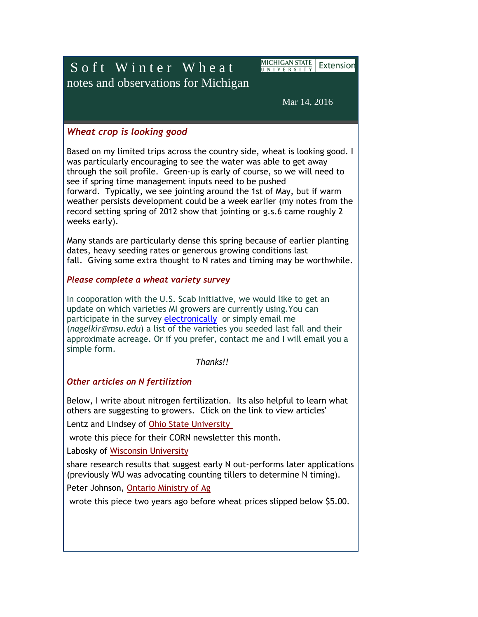S o f t W inter Wheat notes and observations for Michigan <u>MICHIGAN STATE</u> | Extension UNIVERSITY

Mar 14, 2016

### *Wheat crop is looking good*

Based on my limited trips across the country side, wheat is looking good. I was particularly encouraging to see the water was able to get away through the soil profile. Green-up is early of course, so we will need to see if spring time management inputs need to be pushed forward. Typically, we see jointing around the 1st of May, but if warm weather persists development could be a week earlier (my notes from the record setting spring of 2012 show that jointing or g.s.6 came roughly 2 weeks early).

Many stands are particularly dense this spring because of earlier planting dates, heavy seeding rates or generous growing conditions last fall. Giving some extra thought to N rates and timing may be worthwhile.

#### *Please complete a wheat variety survey*

In cooporation with the U.S. Scab Initiative, we would like to get an update on which varieties MI growers are currently using.You can participate in the survey [electronically](https://msu.co1.qualtrics.com/jfe/form/SV_3PdUUqwC6Rzb72l) or simply email me (*nagelkir@msu.edu*) a list of the varieties you seeded last fall and their approximate acreage. Or if you prefer, contact me and I will email you a simple form.

*Thanks!!*

# *Other articles on N fertiliztion*

Below, I write about nitrogen fertilization. Its also helpful to learn what others are suggesting to growers. Click on the link to view articles'

Lentz and Lindsey of [Ohio State University](http://agcrops.osu.edu/newsletter/corn-newsletter/2016-05/when-best-time-apply-n-wheat)

wrote this piece for their CORN newsletter this month.

Labosky of [Wisconsin University](http://www.npketc.info/?p=325) 

share research results that suggest early N out-performs later applications (previously WU was advocating counting tillers to determine N timing).

Peter Johnson, [Ontario Ministry of Ag](http://fieldcropnews.com/2014/03/wheat-nitrogen-strategies/)

wrote this piece two years ago before wheat prices slipped below \$5.00.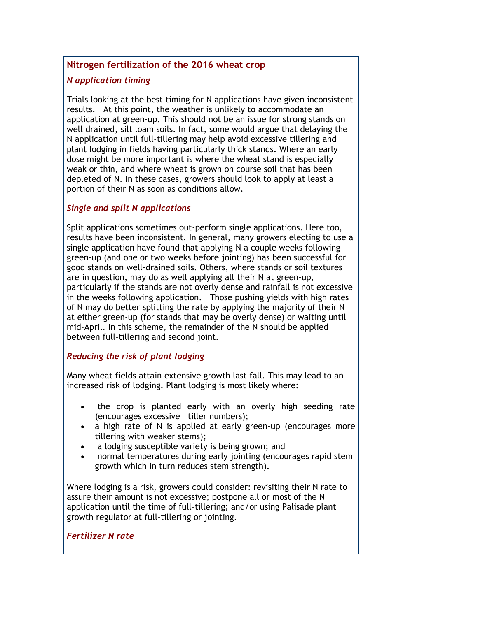### **Nitrogen fertilization of the 2016 wheat crop**

#### *N application timing*

Trials looking at the best timing for N applications have given inconsistent results. At this point, the weather is unlikely to accommodate an application at green-up. This should not be an issue for strong stands on well drained, silt loam soils. In fact, some would argue that delaying the N application until full-tillering may help avoid excessive tillering and plant lodging in fields having particularly thick stands. Where an early dose might be more important is where the wheat stand is especially weak or thin, and where wheat is grown on course soil that has been depleted of N. In these cases, growers should look to apply at least a portion of their N as soon as conditions allow.

#### *Single and split N applications*

Split applications sometimes out-perform single applications. Here too, results have been inconsistent. In general, many growers electing to use a single application have found that applying N a couple weeks following green-up (and one or two weeks before jointing) has been successful for good stands on well-drained soils. Others, where stands or soil textures are in question, may do as well applying all their N at green-up, particularly if the stands are not overly dense and rainfall is not excessive in the weeks following application. Those pushing yields with high rates of N may do better splitting the rate by applying the majority of their N at either green-up (for stands that may be overly dense) or waiting until mid-April. In this scheme, the remainder of the N should be applied between full-tillering and second joint.

# *Reducing the risk of plant lodging*

Many wheat fields attain extensive growth last fall. This may lead to an increased risk of lodging. Plant lodging is most likely where:

- the crop is planted early with an overly high seeding rate (encourages excessive tiller numbers);
- a high rate of N is applied at early green-up (encourages more tillering with weaker stems);
- a lodging susceptible variety is being grown; and
- normal temperatures during early jointing (encourages rapid stem growth which in turn reduces stem strength).

Where lodging is a risk, growers could consider: revisiting their N rate to assure their amount is not excessive; postpone all or most of the N application until the time of full-tillering; and/or using Palisade plant growth regulator at full-tillering or jointing.

#### *Fertilizer N rate*